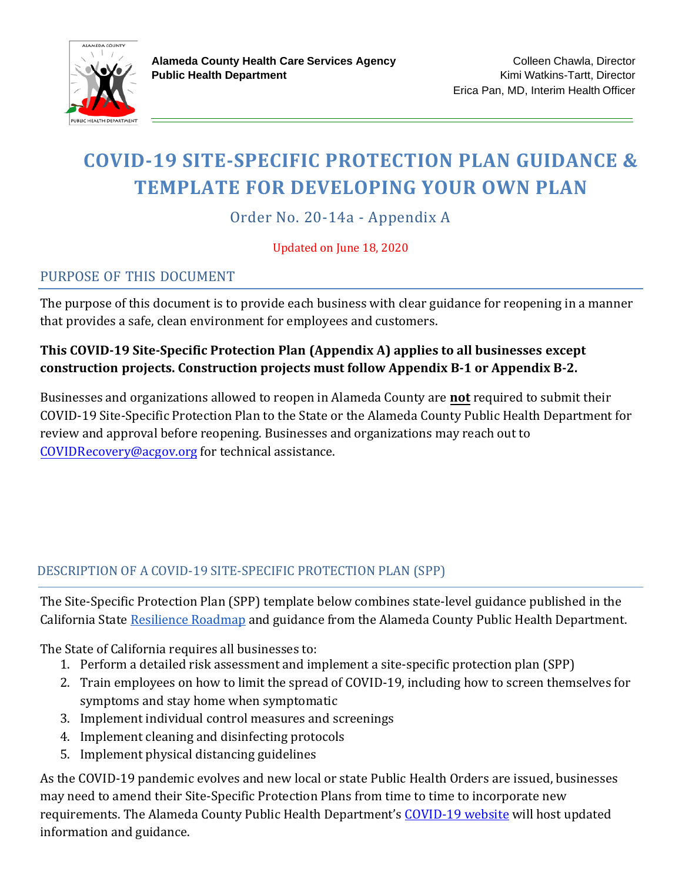

# **COVID-19 SITE-SPECIFIC PROTECTION PLAN GUIDANCE & TEMPLATE FOR DEVELOPING YOUR OWN PLAN**

Order No. 20-14a - Appendix A

Updated on June 18, 2020

#### PURPOSE OF THIS DOCUMENT

The purpose of this document is to provide each business with clear guidance for reopening in a manner that provides a safe, clean environment for employees and customers.

#### **This COVID-19 Site-Specific Protection Plan (Appendix A) applies to all businesses except construction projects. Construction projects must follow Appendix B-1 or Appendix B-2.**

Businesses and organizations allowed to reopen in Alameda County are **not** required to submit their COVID-19 Site-Specific Protection Plan to the State or the Alameda County Public Health Department for review and approval before reopening. Businesses and organizations may reach out to COVIDRecovery@acgov.org for technical assistance.

## DESCRIPTION OF A COVID-19 SITE-SPECIFIC PROTECTION PLAN (SPP)

The Site-Specific Protection Plan (SPP) template below combines state-level guidance published in the California State [Resilience Roadmap](https://covid19.ca.gov/roadmap/) and guidance from the Alameda County Public Health Department.

The State of California requires all businesses to:

- 1. Perform a detailed risk assessment and implement a site-specific protection plan (SPP)
- 2. Train employees on how to limit the spread of COVID-19, including how to screen themselves for symptoms and stay home when symptomatic
- 3. Implement individual control measures and screenings
- 4. Implement cleaning and disinfecting protocols
- 5. Implement physical distancing guidelines

As the COVID-19 pandemic evolves and new local or state Public Health Orders are issued, businesses may need to amend their Site-Specific Protection Plans from time to time to incorporate new requirements. The Alameda County Public Health Department's [COVID-19 website](http://www.acphd.org/2019-ncov.aspx) will host updated information and guidance.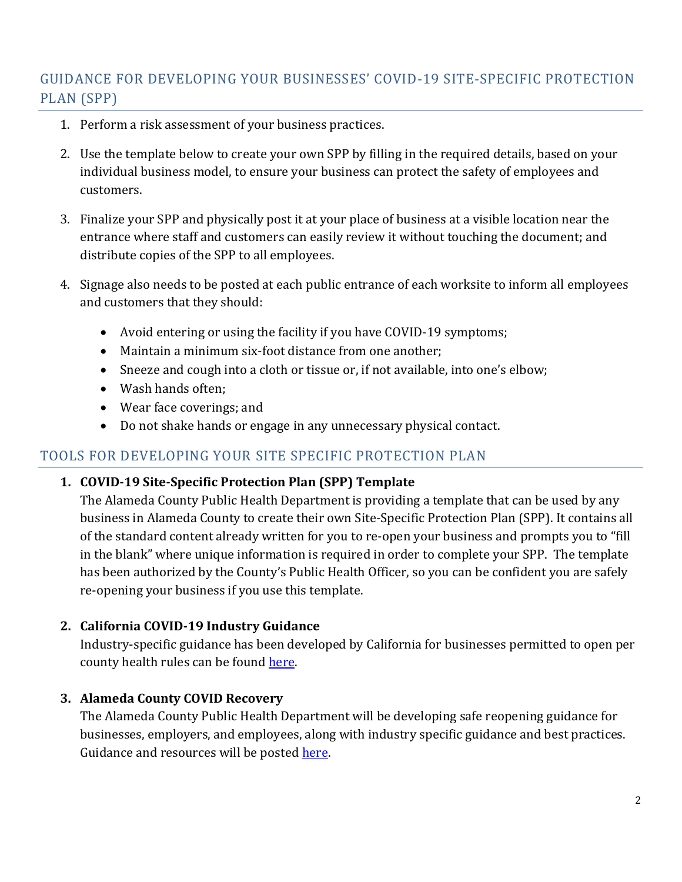# GUIDANCE FOR DEVELOPING YOUR BUSINESSES' COVID-19 SITE-SPECIFIC PROTECTION PLAN (SPP)

- 1. Perform a risk assessment of your business practices.
- 2. Use the template below to create your own SPP by filling in the required details, based on your individual business model, to ensure your business can protect the safety of employees and customers.
- 3. Finalize your SPP and physically post it at your place of business at a visible location near the entrance where staff and customers can easily review it without touching the document; and distribute copies of the SPP to all employees.
- 4. Signage also needs to be posted at each public entrance of each worksite to inform all employees and customers that they should:
	- Avoid entering or using the facility if you have COVID-19 symptoms;
	- Maintain a minimum six-foot distance from one another;
	- Sneeze and cough into a cloth or tissue or, if not available, into one's elbow;
	- Wash hands often;
	- Wear face coverings; and
	- Do not shake hands or engage in any unnecessary physical contact.

#### TOOLS FOR DEVELOPING YOUR SITE SPECIFIC PROTECTION PLAN

#### **1. COVID-19 Site-Specific Protection Plan (SPP) Template**

The Alameda County Public Health Department is providing a template that can be used by any business in Alameda County to create their own Site-Specific Protection Plan (SPP). It contains all of the standard content already written for you to re-open your business and prompts you to "fill in the blank" where unique information is required in order to complete your SPP. The template has been authorized by the County's Public Health Officer, so you can be confident you are safely re-opening your business if you use this template.

#### **2. California COVID-19 Industry Guidance**

Industry-specific guidance has been developed by California for businesses permitted to open per county health rules can be found [here.](https://covid19.ca.gov/industry-guidance/)

#### **3. Alameda County COVID Recovery**

The Alameda County Public Health Department will be developing safe reopening guidance for businesses, employers, and employees, along with industry specific guidance and best practices. Guidance and resources will be posted [here.](http://www.acphd.org/2019-ncov/covid-recovery.aspx)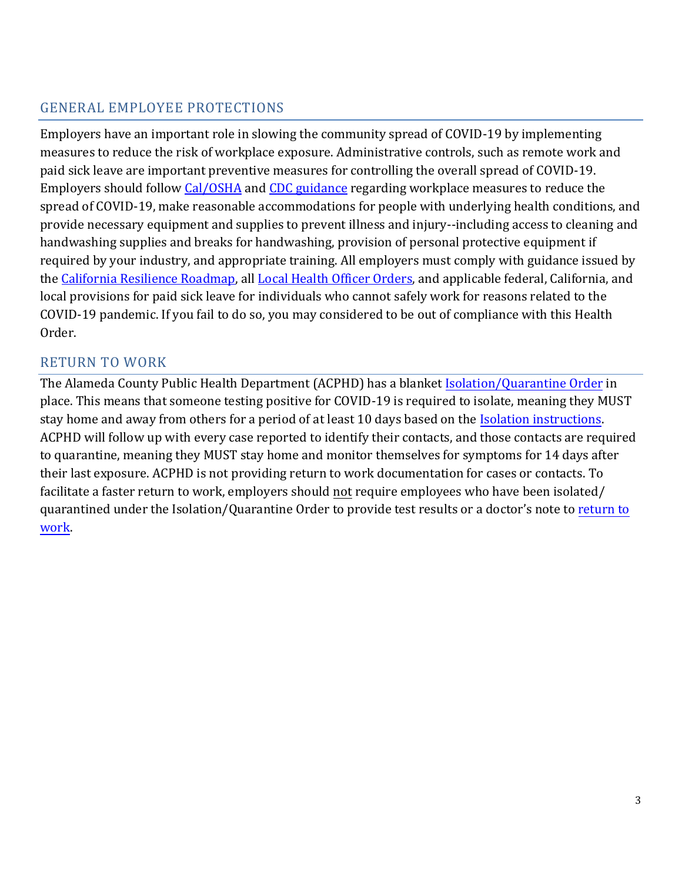#### GENERAL EMPLOYEE PROTECTIONS

Employers have an important role in slowing the community spread of COVID-19 by implementing measures to reduce the risk of workplace exposure. Administrative controls, such as remote work and paid sick leave are important preventive measures for controlling the overall spread of COVID-19. Employers should follow [Cal/OSHA](https://www.dir.ca.gov/dosh/) and [CDC guidance](https://www.cdc.gov/coronavirus/2019-ncov/community/guidance-business-response.html) regarding workplace measures to reduce the spread of COVID-19, make reasonable accommodations for people with underlying health conditions, and provide necessary equipment and supplies to prevent illness and injury--including access to cleaning and handwashing supplies and breaks for handwashing, provision of personal protective equipment if required by your industry, and appropriate training. All employers must comply with guidance issued by the [California Resilience Roadmap,](https://covid19.ca.gov/roadmap/) all [Local Health Officer Orders,](http://www.acphd.org/2019-ncov/health-officer-orders.aspx) and applicable federal, California, and local provisions for paid sick leave for individuals who cannot safely work for reasons related to the COVID-19 pandemic. If you fail to do so, you may considered to be out of compliance with this Health Order.

#### RETURN TO WORK

The Alameda County Public Health Department (ACPHD) has a blanke[t Isolation/Quarantine Order](http://www.acphd.org/2019-ncov/resources-residents/quarantine-and-isolation.aspx) in place. This means that someone testing positive for COVID-19 is required to isolate, meaning they MUST stay home and away from others for a period of at least 10 days based on th[e Isolation instructions.](http://www.acphd.org/media/568835/covid-19-health-officer-order-packet-english.pdf) ACPHD will follow up with every case reported to identify their contacts, and those contacts are required to quarantine, meaning they MUST stay home and monitor themselves for symptoms for 14 days after their last exposure. ACPHD is not providing return to work documentation for cases or contacts. To facilitate a faster return to work, employers should not require employees who have been isolated/ quarantined under the Isolation/Quarantine Order to provide test results or a doctor's note to return to [work.](http://www.acphd.org/media/568880/acphd-covid-19-release-from-iso-or-quar-and-return-to-work-criteria-english.pdf)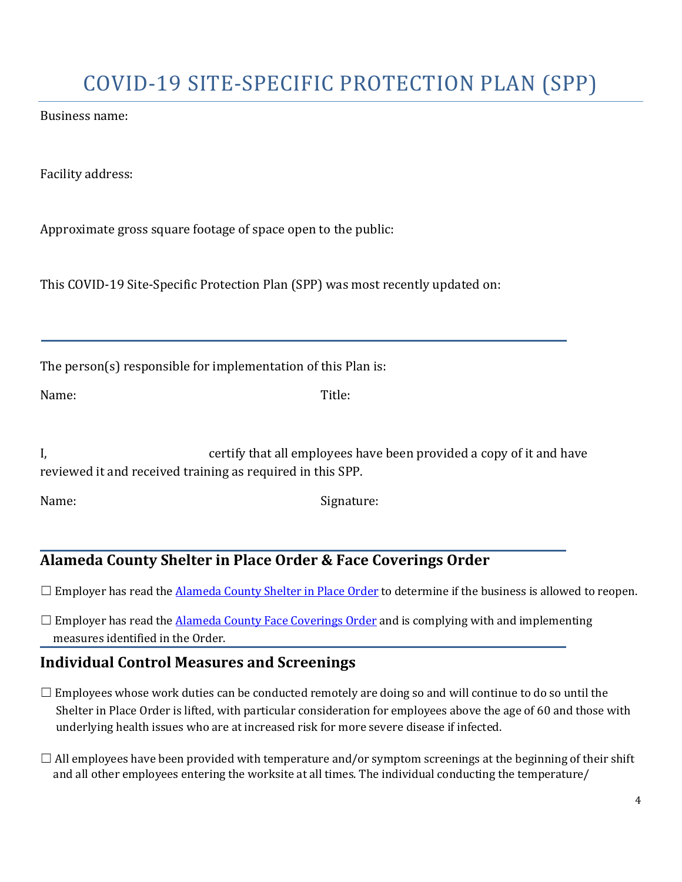# COVID-19 SITE-SPECIFIC PROTECTION PLAN (SPP)

Business name:

Facility address:

Approximate gross square footage of space open to the public:

This COVID-19 Site-Specific Protection Plan (SPP) was most recently updated on:

The person(s) responsible for implementation of this Plan is:

Name: Title:

I, certify that all employees have been provided a copy of it and have reviewed it and received training as required in this SPP.

Name: Signature:

## **Alameda County Shelter in Place Order & Face Coverings Order**

 $\Box$  Employer has read th[e Alameda County Shelter in Place Order](http://www.acphd.org/2019-ncov/health-officer-orders.aspx) to determine if the business is allowed to reopen.

 $\Box$  Employer has read th[e Alameda County Face Coverings Order](http://www.acphd.org/2019-ncov/health-officer-orders.aspx) and is complying with and implementing measures identified in the Order.

## **Individual Control Measures and Screenings**

- $\Box$  Employees whose work duties can be conducted remotely are doing so and will continue to do so until the Shelter in Place Order is lifted, with particular consideration for employees above the age of 60 and those with underlying health issues who are at increased risk for more severe disease if infected.
- $\Box$  All employees have been provided with temperature and/or symptom screenings at the beginning of their shift and all other employees entering the worksite at all times. The individual conducting the temperature/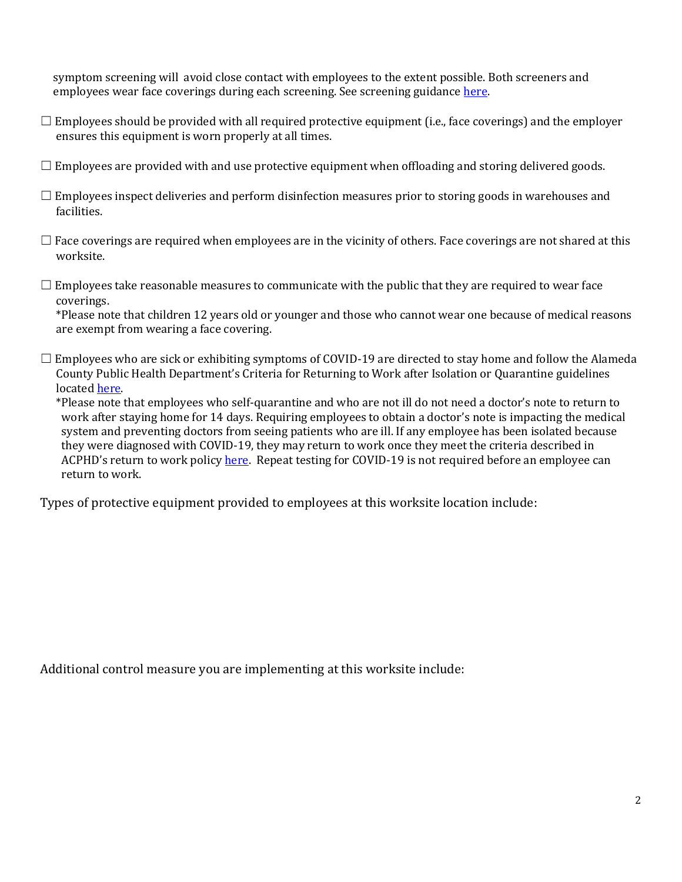symptom screening will avoid close contact with employees to the extent possible. Both screeners and employees wear face coverings during each screening. See screening guidance [here.](http://www.acphd.org/2019-ncov/covid-recovery.aspx)

- $\Box$  Employees should be provided with all required protective equipment (i.e., face coverings) and the employer ensures this equipment is worn properly at all times.
- $\Box$  Employees are provided with and use protective equipment when offloading and storing delivered goods.
- $\Box$  Employees inspect deliveries and perform disinfection measures prior to storing goods in warehouses and facilities.
- $\Box$  Face coverings are required when employees are in the vicinity of others. Face coverings are not shared at this worksite.
- $\Box$  Employees take reasonable measures to communicate with the public that they are required to wear face coverings.

 \*Please note that children 12 years old or younger and those who cannot wear one because of medical reasons are exempt from wearing a face covering.

 $\Box$  Employees who are sick or exhibiting symptoms of COVID-19 are directed to stay home and follow the Alameda County Public Health Department's Criteria for Returning to Work after Isolation or Quarantine guidelines located [here.](http://www.acphd.org/2019-ncov/resources-residents/quarantine-and-isolation.aspx) 

 \*Please note that employees who self-quarantine and who are not ill do not need a doctor's note to return to work after staying home for 14 days. Requiring employees to obtain a doctor's note is impacting the medical system and preventing doctors from seeing patients who are ill. If any employee has been isolated because they were diagnosed with COVID-19, they may return to work once they meet the criteria described in ACPHD's return to work policy [here.](http://acphd.org/media/568880/acphd-covid-19-release-from-iso-or-quar-and-return-to-work-criteria-english.pdf) Repeat testing for COVID-19 is not required before an employee can return to work.

Types of protective equipment provided to employees at this worksite location include:

Additional control measure you are implementing at this worksite include: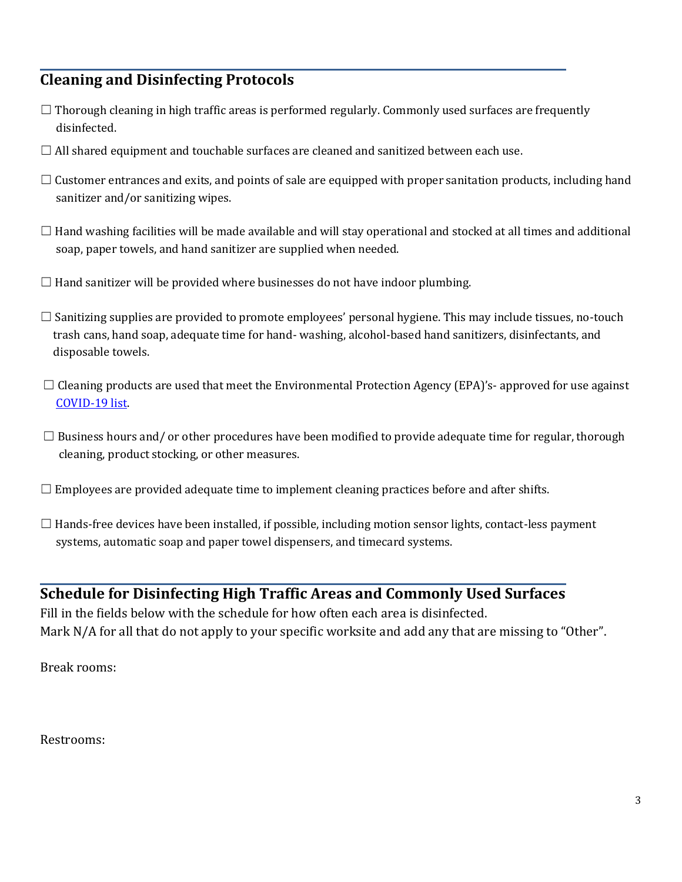## **Cleaning and Disinfecting Protocols**

- $\Box$  Thorough cleaning in high traffic areas is performed regularly. Commonly used surfaces are frequently disinfected.
- $\Box$  All shared equipment and touchable surfaces are cleaned and sanitized between each use.
- $\Box$  Customer entrances and exits, and points of sale are equipped with proper sanitation products, including hand sanitizer and/or sanitizing wipes.
- $\Box$  Hand washing facilities will be made available and will stay operational and stocked at all times and additional soap, paper towels, and hand sanitizer are supplied when needed.
- $\Box$  Hand sanitizer will be provided where businesses do not have indoor plumbing.
- $\Box$  Sanitizing supplies are provided to promote employees' personal hygiene. This may include tissues, no-touch trash cans, hand soap, adequate time for hand- washing, alcohol-based hand sanitizers, disinfectants, and disposable towels.
- $\Box$  Cleaning products are used that meet the Environmental Protection Agency (EPA)'s- approved for use against [COVID-19 list.](https://www.epa.gov/pesticide-registration/list-n-disinfectants-use-against-sars-cov-2)
- $\Box$  Business hours and/ or other procedures have been modified to provide adequate time for regular, thorough cleaning, product stocking, or other measures.
- $\Box$  Employees are provided adequate time to implement cleaning practices before and after shifts.
- $\Box$  Hands-free devices have been installed, if possible, including motion sensor lights, contact-less payment systems, automatic soap and paper towel dispensers, and timecard systems.

# **Schedule for Disinfecting High Traffic Areas and Commonly Used Surfaces**

Fill in the fields below with the schedule for how often each area is disinfected. Mark N/A for all that do not apply to your specific worksite and add any that are missing to "Other".

Break rooms:

Restrooms: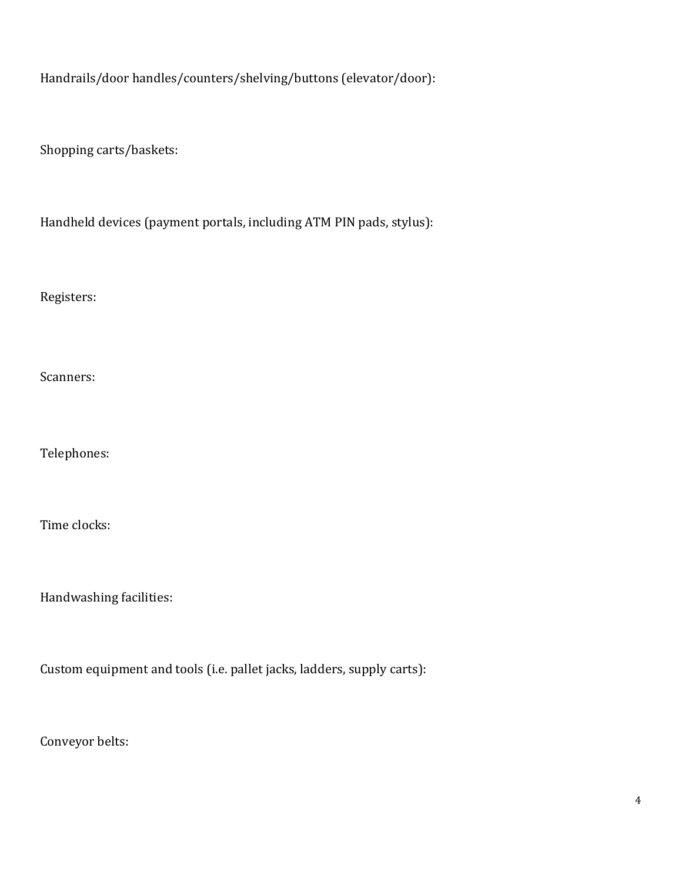Handrails/door handles/counters/shelving/buttons (elevator/door):

Shopping carts/baskets:

Handheld devices (payment portals, including ATM PIN pads, stylus):

Registers:

Scanners:

Telephones:

Time clocks:

Handwashing facilities:

Custom equipment and tools (i.e. pallet jacks, ladders, supply carts):

Conveyor belts: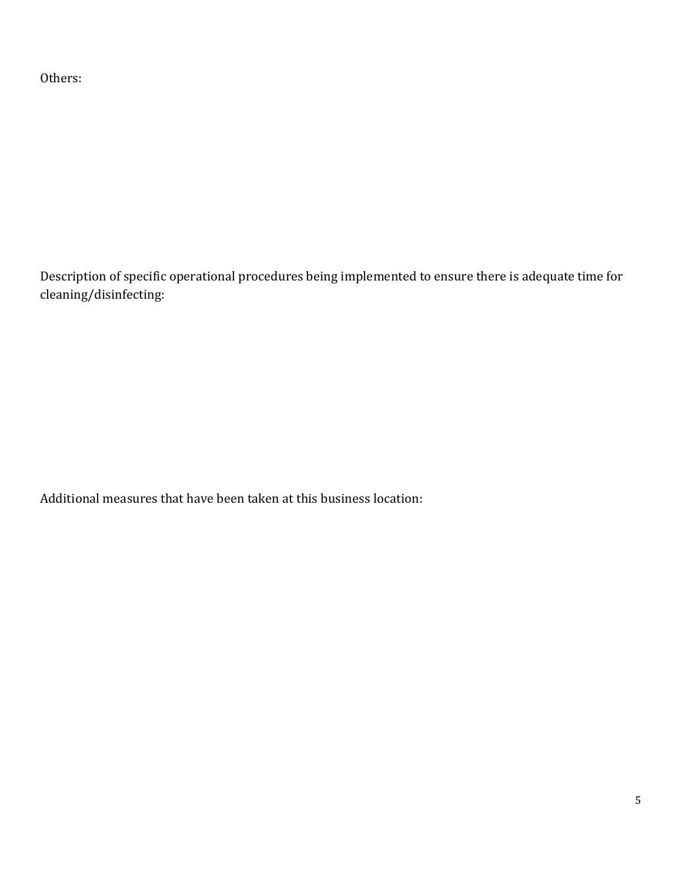Others:

Description of specific operational procedures being implemented to ensure there is adequate time for cleaning/disinfecting:

Additional measures that have been taken at this business location: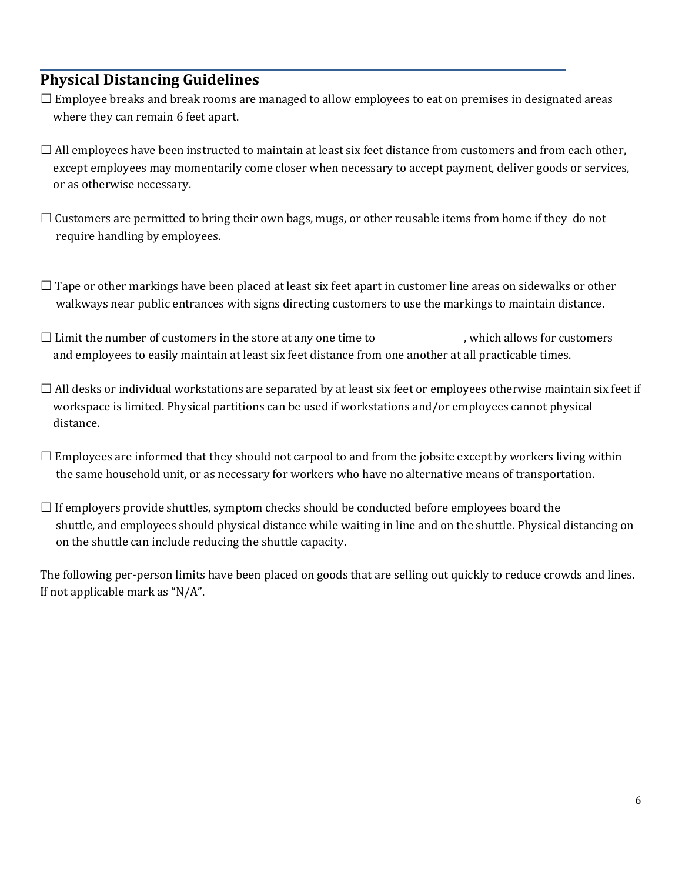# **Physical Distancing Guidelines**

- $\Box$  Employee breaks and break rooms are managed to allow employees to eat on premises in designated areas where they can remain 6 feet apart.
- $\Box$  All employees have been instructed to maintain at least six feet distance from customers and from each other, except employees may momentarily come closer when necessary to accept payment, deliver goods or services, or as otherwise necessary.
- $\Box$  Customers are permitted to bring their own bags, mugs, or other reusable items from home if they do not require handling by employees.
- $\Box$  Tape or other markings have been placed at least six feet apart in customer line areas on sidewalks or other walkways near public entrances with signs directing customers to use the markings to maintain distance.
- $\Box$  Limit the number of customers in the store at any one time to  $\Box$ , which allows for customers and employees to easily maintain at least six feet distance from one another at all practicable times.
- $\Box$  All desks or individual workstations are separated by at least six feet or employees otherwise maintain six feet if workspace is limited. Physical partitions can be used if workstations and/or employees cannot physical distance.
- $\Box$  Employees are informed that they should not carpool to and from the jobsite except by workers living within the same household unit, or as necessary for workers who have no alternative means of transportation.
- $\Box$  If employers provide shuttles, symptom checks should be conducted before employees board the shuttle, and employees should physical distance while waiting in line and on the shuttle. Physical distancing on on the shuttle can include reducing the shuttle capacity.

The following per-person limits have been placed on goods that are selling out quickly to reduce crowds and lines. If not applicable mark as "N/A".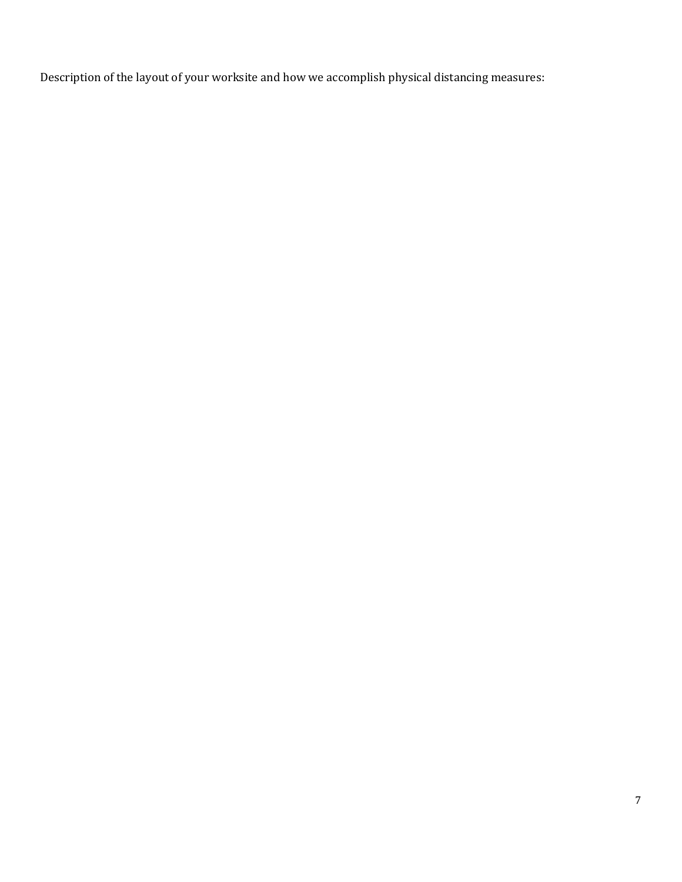Description of the layout of your worksite and how we accomplish physical distancing measures: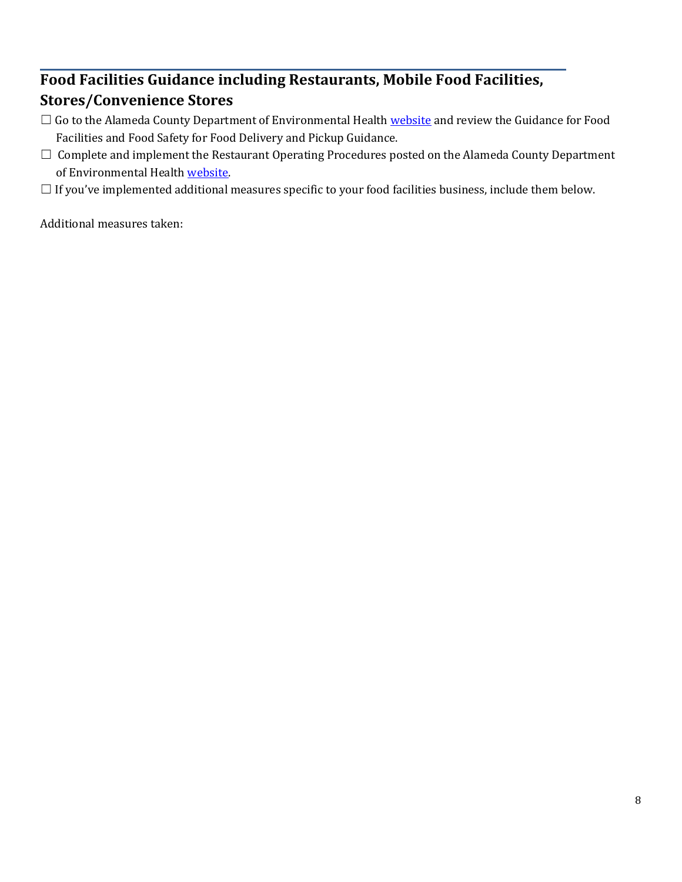## **Food Facilities Guidance including Restaurants, Mobile Food Facilities,**

## **Stores/Convenience Stores**

- □ Go to the Alameda County Department of Environmental Healt[h website](https://deh.acgov.org/covid-19.page?) and review the Guidance for Food Facilities and Food Safety for Food Delivery and Pickup Guidance.
- ☐ Complete and implement the Restaurant Operating Procedures posted on the Alameda County Department of Environmental Health [website.](https://deh.acgov.org/covid-19.page?)
- $\Box$  If you've implemented additional measures specific to your food facilities business, include them below.

Additional measures taken: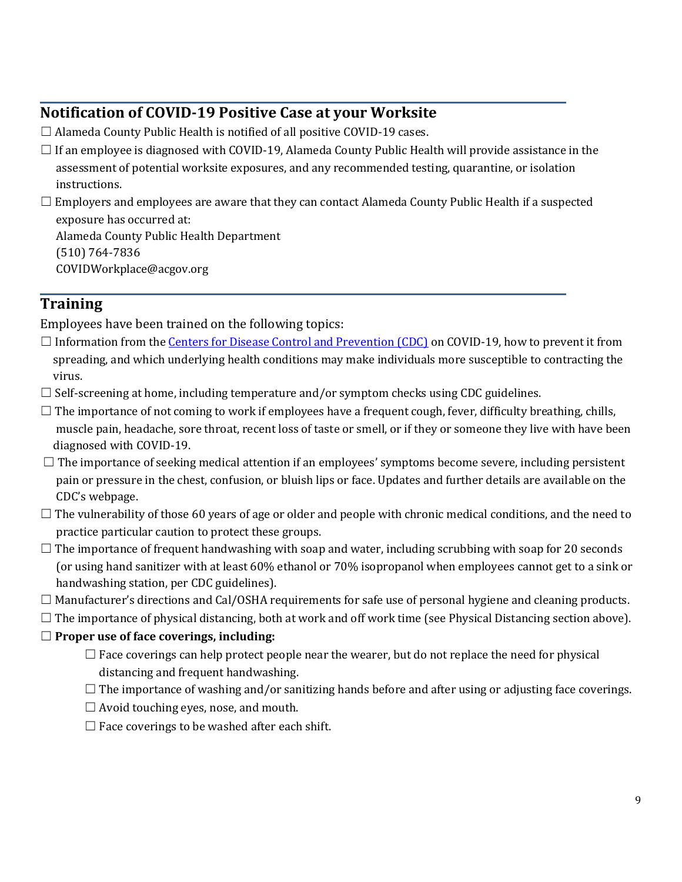# **Notification of COVID-19 Positive Case at your Worksite**

- $\Box$  Alameda County Public Health is notified of all positive COVID-19 cases.
- $\Box$  If an employee is diagnosed with COVID-19, Alameda County Public Health will provide assistance in the assessment of potential worksite exposures, and any recommended testing, quarantine, or isolation instructions.
- $\Box$  Employers and employees are aware that they can contact Alameda County Public Health if a suspected exposure has occurred at:

 Alameda County Public Health Department (510) 764-7836 COVIDWorkplace@acgov.org

# **Training**

Employees have been trained on the following topics:

- $\Box$  Information from th[e Centers for Disease Control and Prevention \(CDC\)](https://www.cdc.gov/coronavirus/2019-ncov/symptoms-testing/symptoms.html) on COVID-19, how to prevent it from spreading, and which underlying health conditions may make individuals more susceptible to contracting the virus.
- $\Box$  Self-screening at home, including temperature and/or symptom checks using CDC guidelines.
- $\Box$  The importance of not coming to work if employees have a frequent cough, fever, difficulty breathing, chills, muscle pain, headache, sore throat, recent loss of taste or smell, or if they or someone they live with have been diagnosed with COVID-19.
- $\Box$  The importance of seeking medical attention if an employees' symptoms become severe, including persistent pain or pressure in the chest, confusion, or bluish lips or face. Updates and further details are available on the CDC's webpage.
- $\Box$  The vulnerability of those 60 years of age or older and people with chronic medical conditions, and the need to practice particular caution to protect these groups.
- $\Box$  The importance of frequent handwashing with soap and water, including scrubbing with soap for 20 seconds (or using hand sanitizer with at least 60% ethanol or 70% isopropanol when employees cannot get to a sink or handwashing station, per CDC guidelines).
- $\Box$  Manufacturer's directions and Cal/OSHA requirements for safe use of personal hygiene and cleaning products.
- $\Box$  The importance of physical distancing, both at work and off work time (see Physical Distancing section above).

#### ☐ **Proper use of face coverings, including:**

- $\Box$  Face coverings can help protect people near the wearer, but do not replace the need for physical distancing and frequent handwashing.
- $\Box$  The importance of washing and/or sanitizing hands before and after using or adjusting face coverings.
- $\Box$  Avoid touching eyes, nose, and mouth.
- $\Box$  Face coverings to be washed after each shift.